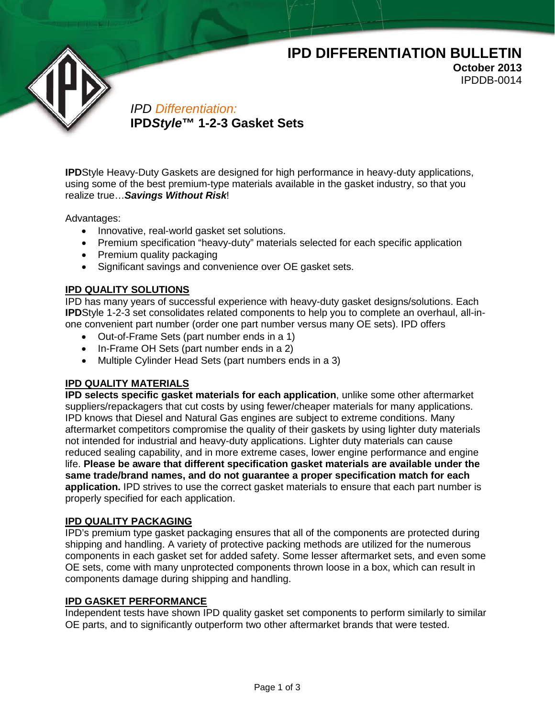# **IPD DIFFERENTIATION BULLETIN**

**October 2013** IPDDB-0014

*IPD Differentiation:* **IPD***Style***™ 1-2-3 Gasket Sets**

**IPD**Style Heavy-Duty Gaskets are designed for high performance in heavy-duty applications, using some of the best premium-type materials available in the gasket industry, so that you realize true…*Savings Without Risk*!

Advantages:

- Innovative, real-world gasket set solutions.
- Premium specification "heavy-duty" materials selected for each specific application
- Premium quality packaging
- Significant savings and convenience over OE gasket sets.

## **IPD QUALITY SOLUTIONS**

IPD has many years of successful experience with heavy-duty gasket designs/solutions. Each **IPD**Style 1-2-3 set consolidates related components to help you to complete an overhaul, all-inone convenient part number (order one part number versus many OE sets). IPD offers

- Out-of-Frame Sets (part number ends in a 1)
- In-Frame OH Sets (part number ends in a 2)
- Multiple Cylinder Head Sets (part numbers ends in a 3)

## **IPD QUALITY MATERIALS**

**IPD selects specific gasket materials for each application**, unlike some other aftermarket suppliers/repackagers that cut costs by using fewer/cheaper materials for many applications. IPD knows that Diesel and Natural Gas engines are subject to extreme conditions. Many aftermarket competitors compromise the quality of their gaskets by using lighter duty materials not intended for industrial and heavy-duty applications. Lighter duty materials can cause reduced sealing capability, and in more extreme cases, lower engine performance and engine life. **Please be aware that different specification gasket materials are available under the same trade/brand names, and do not guarantee a proper specification match for each application.** IPD strives to use the correct gasket materials to ensure that each part number is properly specified for each application.

### **IPD QUALITY PACKAGING**

IPD's premium type gasket packaging ensures that all of the components are protected during shipping and handling. A variety of protective packing methods are utilized for the numerous components in each gasket set for added safety. Some lesser aftermarket sets, and even some OE sets, come with many unprotected components thrown loose in a box, which can result in components damage during shipping and handling.

### **IPD GASKET PERFORMANCE**

Independent tests have shown IPD quality gasket set components to perform similarly to similar OE parts, and to significantly outperform two other aftermarket brands that were tested.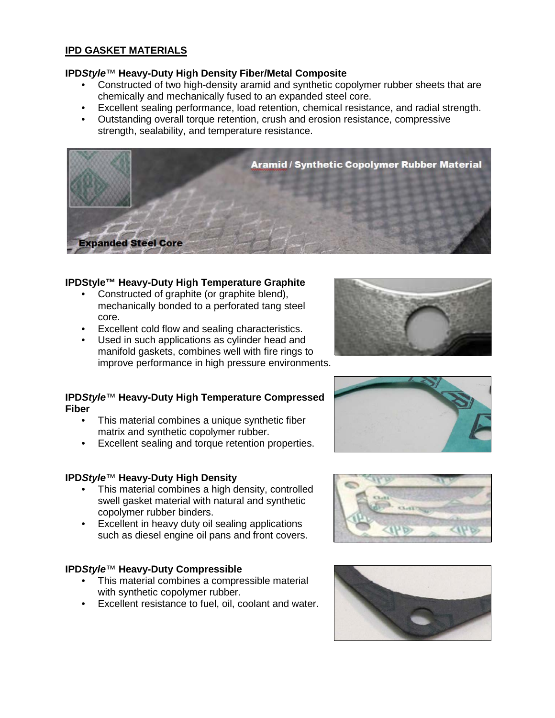## **IPD GASKET MATERIALS**

## **IPD***Style*™ **Heavy-Duty High Density Fiber/Metal Composite**

- Constructed of two high-density aramid and synthetic copolymer rubber sheets that are chemically and mechanically fused to an expanded steel core.
- Excellent sealing performance, load retention, chemical resistance, and radial strength.
- Outstanding overall torque retention, crush and erosion resistance, compressive strength, sealability, and temperature resistance.



## **IPDStyle™ Heavy-Duty High Temperature Graphite**

- Constructed of graphite (or graphite blend), mechanically bonded to a perforated tang steel core.
- Excellent cold flow and sealing characteristics.<br>• Used in such annications as cylinder head and
- Used in such applications as cylinder head and manifold gaskets, combines well with fire rings to improve performance in high pressure environments.

### **IPD***Style*™ **Heavy-Duty High Temperature Compressed Fiber**

- This material combines a unique synthetic fiber matrix and synthetic copolymer rubber.
- Excellent sealing and torque retention properties.

## **IPD***Style*™ **Heavy-Duty High Density**

- This material combines a high density, controlled swell gasket material with natural and synthetic copolymer rubber binders.
- Excellent in heavy duty oil sealing applications such as diesel engine oil pans and front covers.

### **IPD***Style*™ **Heavy-Duty Compressible**

- This material combines a compressible material with synthetic copolymer rubber.
- Excellent resistance to fuel, oil, coolant and water.